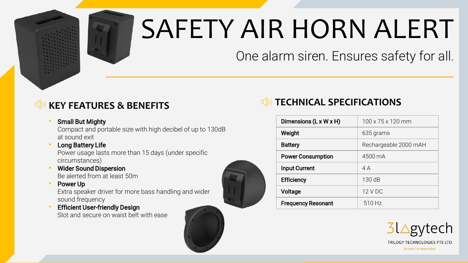

# SAFETY AIR HORN ALERT

One alarm siren. Ensures safety for all.

### **KEY FEATURES & BENEFITS**

#### **Small But Mighty**

Compact and portable size with high decibel of up to 130dB at sound exit

**Long Battery Life** 

Power usage lasts more than 15 days (under specific circumstances)

- Wider Sound Dispersion Be alerted from at least 50m
- Power Up

Extra speaker driver for more bass handling and wider sound frequency

**Efficient User-friendly Design** Slot and secure on waist belt with ease





| Dimensions (L x W x H)    | $100 \times 75 \times 120$ mm |
|---------------------------|-------------------------------|
| Weight                    | 635 grams                     |
| <b>Battery</b>            | Rechargeable 2000 mAH         |
| <b>Power Consumption</b>  | 4500 mA                       |
| <b>Input Current</b>      | 4A                            |
| <b>Efficiency</b>         | 130dB                         |
| Voltage                   | 12 V DC                       |
| <b>Frequency Resonant</b> | 510 Hz                        |